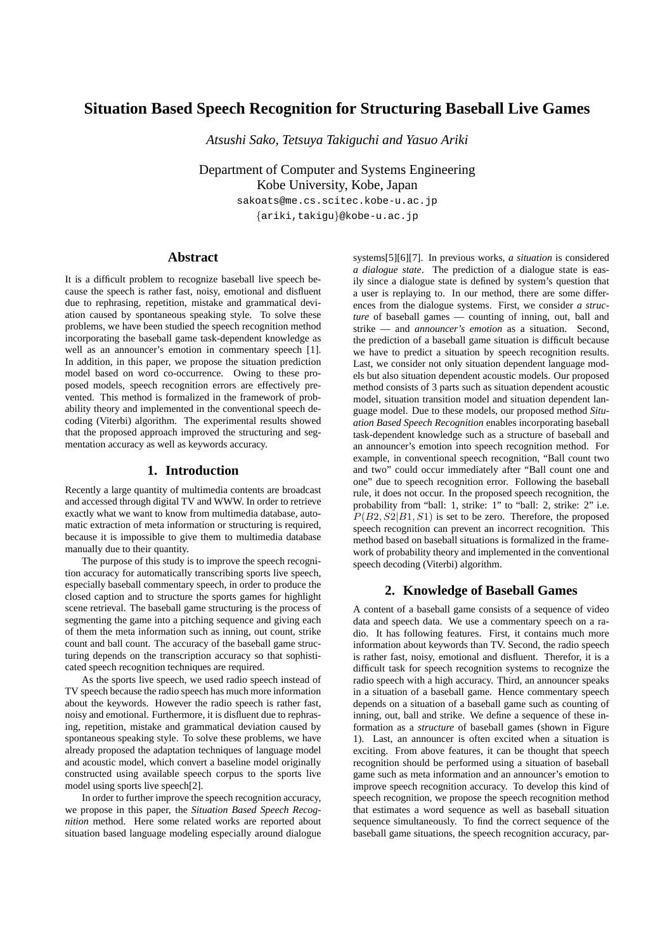# **Situation Based Speech Recognition for Structuring Baseball Live Games**

*Atsushi Sako, Tetsuya Takiguchi and Yasuo Ariki*

Department of Computer and Systems Engineering Kobe University, Kobe, Japan

> sakoats@me.cs.scitec.kobe-u.ac.jp *{*ariki,takigu*}*@kobe-u.ac.jp

### **Abstract**

It is a difficult problem to recognize baseball live speech because the speech is rather fast, noisy, emotional and disfluent due to rephrasing, repetition, mistake and grammatical deviation caused by spontaneous speaking style. To solve these problems, we have been studied the speech recognition method incorporating the baseball game task-dependent knowledge as well as an announcer's emotion in commentary speech [1]. In addition, in this paper, we propose the situation prediction model based on word co-occurrence. Owing to these proposed models, speech recognition errors are effectively prevented. This method is formalized in the framework of probability theory and implemented in the conventional speech decoding (Viterbi) algorithm. The experimental results showed that the proposed approach improved the structuring and segmentation accuracy as well as keywords accuracy.

# **1. Introduction**

Recently a large quantity of multimedia contents are broadcast and accessed through digital TV and WWW. In order to retrieve exactly what we want to know from multimedia database, automatic extraction of meta information or structuring is required, because it is impossible to give them to multimedia database manually due to their quantity.

The purpose of this study is to improve the speech recognition accuracy for automatically transcribing sports live speech, especially baseball commentary speech, in order to produce the closed caption and to structure the sports games for highlight scene retrieval. The baseball game structuring is the process of segmenting the game into a pitching sequence and giving each of them the meta information such as inning, out count, strike count and ball count. The accuracy of the baseball game structuring depends on the transcription accuracy so that sophisticated speech recognition techniques are required.

As the sports live speech, we used radio speech instead of TV speech because the radio speech has much more information about the keywords. However the radio speech is rather fast, noisy and emotional. Furthermore, it is disfluent due to rephrasing, repetition, mistake and grammatical deviation caused by spontaneous speaking style. To solve these problems, we have already proposed the adaptation techniques of language model and acoustic model, which convert a baseline model originally constructed using available speech corpus to the sports live model using sports live speech[2].

In order to further improve the speech recognition accuracy, we propose in this paper, the *Situation Based Speech Recognition* method. Here some related works are reported about situation based language modeling especially around dialogue systems[5][6][7]. In previous works, *a situation* is considered *a dialogue state*. The prediction of a dialogue state is easily since a dialogue state is defined by system's question that a user is replaying to. In our method, there are some differences from the dialogue systems. First, we consider *a structure* of baseball games — counting of inning, out, ball and strike — and *announcer's emotion* as a situation. Second, the prediction of a baseball game situation is difficult because we have to predict a situation by speech recognition results. Last, we consider not only situation dependent language models but also situation dependent acoustic models. Our proposed method consists of 3 parts such as situation dependent acoustic model, situation transition model and situation dependent language model. Due to these models, our proposed method *Situation Based Speech Recognition* enables incorporating baseball task-dependent knowledge such as a structure of baseball and an announcer's emotion into speech recognition method. For example, in conventional speech recognition, "Ball count two and two" could occur immediately after "Ball count one and one" due to speech recognition error. Following the baseball rule, it does not occur. In the proposed speech recognition, the probability from "ball: 1, strike: 1" to "ball: 2, strike: 2" i.e.  $P(B2, S2|B1, S1)$  is set to be zero. Therefore, the proposed speech recognition can prevent an incorrect recognition. This method based on baseball situations is formalized in the framework of probability theory and implemented in the conventional speech decoding (Viterbi) algorithm.

### **2. Knowledge of Baseball Games**

A content of a baseball game consists of a sequence of video data and speech data. We use a commentary speech on a radio. It has following features. First, it contains much more information about keywords than TV. Second, the radio speech is rather fast, noisy, emotional and disfluent. Therefor, it is a difficult task for speech recognition systems to recognize the radio speech with a high accuracy. Third, an announcer speaks in a situation of a baseball game. Hence commentary speech depends on a situation of a baseball game such as counting of inning, out, ball and strike. We define a sequence of these information as a *structure* of baseball games (shown in Figure 1). Last, an announcer is often excited when a situation is exciting. From above features, it can be thought that speech recognition should be performed using a situation of baseball game such as meta information and an announcer's emotion to improve speech recognition accuracy. To develop this kind of speech recognition, we propose the speech recognition method that estimates a word sequence as well as baseball situation sequence simultaneously. To find the correct sequence of the baseball game situations, the speech recognition accuracy, par-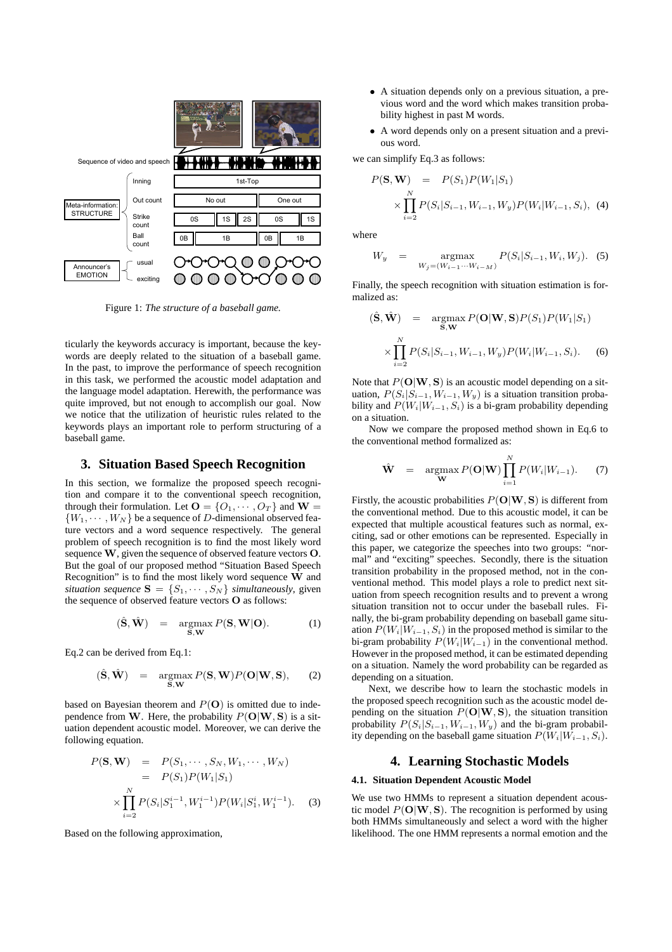

Figure 1: *The structure of a baseball game.*

ticularly the keywords accuracy is important, because the keywords are deeply related to the situation of a baseball game. In the past, to improve the performance of speech recognition in this task, we performed the acoustic model adaptation and the language model adaptation. Herewith, the performance was quite improved, but not enough to accomplish our goal. Now we notice that the utilization of heuristic rules related to the keywords plays an important role to perform structuring of a baseball game.

### **3. Situation Based Speech Recognition**

In this section, we formalize the proposed speech recognition and compare it to the conventional speech recognition, through their formulation. Let  $O = \{O_1, \dots, O_T\}$  and  $W =$  ${W_1, \cdots, W_N}$  be a sequence of *D*-dimensional observed feature vectors and a word sequence respectively. The general problem of speech recognition is to find the most likely word sequence **W**, given the sequence of observed feature vectors **O**. But the goal of our proposed method "Situation Based Speech Recognition" is to find the most likely word sequence **W** and *situation sequence*  $S = \{S_1, \dots, S_N\}$  *simultaneously*, given the sequence of observed feature vectors **O** as follows:

$$
(\hat{\mathbf{S}}, \hat{\mathbf{W}}) = \underset{\mathbf{S}, \mathbf{W}}{\operatorname{argmax}} P(\mathbf{S}, \mathbf{W}|\mathbf{O}).
$$
 (1)

Eq.2 can be derived from Eq.1:

$$
(\hat{\mathbf{S}}, \hat{\mathbf{W}}) = \underset{\mathbf{S}, \mathbf{W}}{\operatorname{argmax}} P(\mathbf{S}, \mathbf{W}) P(\mathbf{O}|\mathbf{W}, \mathbf{S}), \qquad (2)
$$

based on Bayesian theorem and  $P(\mathbf{O})$  is omitted due to independence from **W**. Here, the probability  $P(\mathbf{O}|\mathbf{W}, \mathbf{S})$  is a situation dependent acoustic model. Moreover, we can derive the following equation.

$$
P(\mathbf{S}, \mathbf{W}) = P(S_1, \cdots, S_N, W_1, \cdots, W_N)
$$
  
=  $P(S_1)P(W_1|S_1)$   

$$
\times \prod_{i=2}^N P(S_i|S_1^{i-1}, W_1^{i-1})P(W_i|S_1^i, W_1^{i-1}).
$$
 (3)

Based on the following approximation,

- *•* A situation depends only on a previous situation, a previous word and the word which makes transition probability highest in past M words.
- *•* A word depends only on a present situation and a previous word.

we can simplify Eq.3 as follows:

$$
P(\mathbf{S}, \mathbf{W}) = P(S_1)P(W_1|S_1)
$$
  
 
$$
\times \prod_{i=2}^{N} P(S_i|S_{i-1}, W_{i-1}, W_y)P(W_i|W_{i-1}, S_i), \quad (4)
$$

where

$$
W_y = \underset{W_j = (W_{i-1} \cdots W_{i-M})}{\text{argmax}} P(S_i | S_{i-1}, W_i, W_j). \quad (5)
$$

Finally, the speech recognition with situation estimation is formalized as:

$$
(\hat{\mathbf{S}}, \hat{\mathbf{W}}) = \underset{\mathbf{S}, \mathbf{W}}{\operatorname{argmax}} P(\mathbf{O}|\mathbf{W}, \mathbf{S}) P(S_1) P(W_1|S_1) \times \prod_{i=2}^{N} P(S_i|S_{i-1}, W_{i-1}, W_y) P(W_i|W_{i-1}, S_i).
$$
 (6)

Note that *P*(**O***|***W***,* **S**) is an acoustic model depending on a situation,  $P(S_i|S_{i-1}, W_{i-1}, W_y)$  is a situation transition probability and  $P(W_i|W_{i-1}, S_i)$  is a bi-gram probability depending on a situation.

Now we compare the proposed method shown in Eq.6 to the conventional method formalized as:

$$
\hat{\mathbf{W}} = \underset{\mathbf{W}}{\operatorname{argmax}} P(\mathbf{O}|\mathbf{W}) \prod_{i=1}^{N} P(W_i|W_{i-1}). \tag{7}
$$

Firstly, the acoustic probabilities  $P(\mathbf{O}|\mathbf{W}, \mathbf{S})$  is different from the conventional method. Due to this acoustic model, it can be expected that multiple acoustical features such as normal, exciting, sad or other emotions can be represented. Especially in this paper, we categorize the speeches into two groups: "normal" and "exciting" speeches. Secondly, there is the situation transition probability in the proposed method, not in the conventional method. This model plays a role to predict next situation from speech recognition results and to prevent a wrong situation transition not to occur under the baseball rules. Finally, the bi-gram probability depending on baseball game situation  $P(W_i|W_{i-1}, S_i)$  in the proposed method is similar to the bi-gram probability  $P(W_i|W_{i-1})$  in the conventional method. However in the proposed method, it can be estimated depending on a situation. Namely the word probability can be regarded as depending on a situation.

Next, we describe how to learn the stochastic models in the proposed speech recognition such as the acoustic model depending on the situation  $P(\mathbf{O}|\mathbf{W}, \mathbf{S})$ , the situation transition probability  $P(S_i|S_{i-1}, W_{i-1}, W_y)$  and the bi-gram probability depending on the baseball game situation  $P(W_i|W_{i-1}, S_i)$ .

# **4. Learning Stochastic Models**

#### **4.1. Situation Dependent Acoustic Model**

We use two HMMs to represent a situation dependent acoustic model  $P(\mathbf{O}|\mathbf{W}, \mathbf{S})$ . The recognition is performed by using both HMMs simultaneously and select a word with the higher likelihood. The one HMM represents a normal emotion and the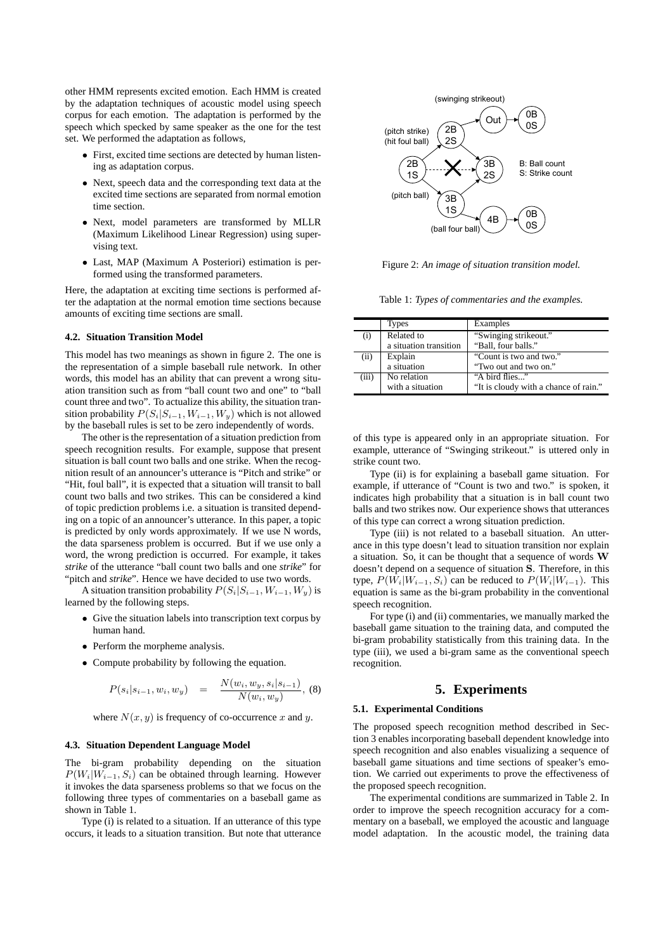other HMM represents excited emotion. Each HMM is created by the adaptation techniques of acoustic model using speech corpus for each emotion. The adaptation is performed by the speech which specked by same speaker as the one for the test set. We performed the adaptation as follows,

- *•* First, excited time sections are detected by human listening as adaptation corpus.
- *•* Next, speech data and the corresponding text data at the excited time sections are separated from normal emotion time section.
- *•* Next, model parameters are transformed by MLLR (Maximum Likelihood Linear Regression) using supervising text.
- *•* Last, MAP (Maximum A Posteriori) estimation is performed using the transformed parameters.

Here, the adaptation at exciting time sections is performed after the adaptation at the normal emotion time sections because amounts of exciting time sections are small.

#### **4.2. Situation Transition Model**

This model has two meanings as shown in figure 2. The one is the representation of a simple baseball rule network. In other words, this model has an ability that can prevent a wrong situation transition such as from "ball count two and one" to "ball count three and two". To actualize this ability, the situation transition probability  $P(S_i|S_{i-1}, W_{i-1}, W_y)$  which is not allowed by the baseball rules is set to be zero independently of words.

The other is the representation of a situation prediction from speech recognition results. For example, suppose that present situation is ball count two balls and one strike. When the recognition result of an announcer's utterance is "Pitch and strike" or "Hit, foul ball", it is expected that a situation will transit to ball count two balls and two strikes. This can be considered a kind of topic prediction problems i.e. a situation is transited depending on a topic of an announcer's utterance. In this paper, a topic is predicted by only words approximately. If we use N words, the data sparseness problem is occurred. But if we use only a word, the wrong prediction is occurred. For example, it takes *strike* of the utterance "ball count two balls and one *strike*" for "pitch and *strike*". Hence we have decided to use two words. by the ball count in the count of the matrix is a situation of the situation of the situation of the situation of the situation of the situation of the situation of the situation of the situation of the situation of the s

A situation transition probability  $P(S_i|S_{i-1}, W_{i-1}, W_y)$  is learned by the following steps.

- *•* Give the situation labels into transcription text corpus by human hand.
- Perform the morpheme analysis.
- Compute probability by following the equation.

$$
P(s_i|s_{i-1}, w_i, w_y) = \frac{N(w_i, w_y, s_i|s_{i-1})}{N(w_i, w_y)}, (8)
$$

where  $N(x, y)$  is frequency of co-occurrence x and y.

#### **4.3. Situation Dependent Language Model**

The bi-gram probability depending on the situation  $P(W_i|W_{i-1}, S_i)$  can be obtained through learning. However it invokes the data sparseness problems so that we focus on the following three types of commentaries on a baseball game as shown in Table 1.

Type (i) is related to a situation. If an utterance of this type



Figure 2: *An image of situation transition model.*

Table 1: *Types of commentaries and the examples.*

|       | Types                  | Examples                              |
|-------|------------------------|---------------------------------------|
| (i)   | Related to             | "Swinging strikeout."                 |
|       | a situation transition | "Ball, four balls."                   |
| (ii)  | Explain                | "Count is two and two."               |
|       | a situation            | "Two out and two on."                 |
| (iii) | No relation            | "A bird flies"                        |
|       | with a situation       | "It is cloudy with a chance of rain." |

of this type is appeared only in an appropriate situation. For example, utterance of "Swinging strikeout." is uttered only in strike count two.

Type (ii) is for explaining a baseball game situation. For example, if utterance of "Count is two and two." is spoken, it indicates high probability that a situation is in ball count two balls and two strikes now. Our experience shows that utterances of this type can correct a wrong situation prediction.

Type (iii) is not related to a baseball situation. An utterance in this type doesn't lead to situation transition nor explain a situation. So, it can be thought that a sequence of words **W** doesn't depend on a sequence of situation **S**. Therefore, in this type,  $P(W_i|W_{i-1}, S_i)$  can be reduced to  $P(W_i|W_{i-1})$ . This equation is same as the bi-gram probability in the conventional speech recognition.

For type (i) and (ii) commentaries, we manually marked the baseball game situation to the training data, and computed the bi-gram probability statistically from this training data. In the type (iii), we used a bi-gram same as the conventional speech recognition.

# **5. Experiments**

#### **5.1. Experimental Conditions**

The proposed speech recognition method described in Section 3 enables incorporating baseball dependent knowledge into speech recognition and also enables visualizing a sequence of baseball game situations and time sections of speaker's emotion. We carried out experiments to prove the effectiveness of the proposed speech recognition.

The experimental conditions are summarized in Table 2. In order to improve the speech recognition accuracy for a commentary on a baseball, we employed the acoustic and language model adaptation. In the acoustic model, the training data